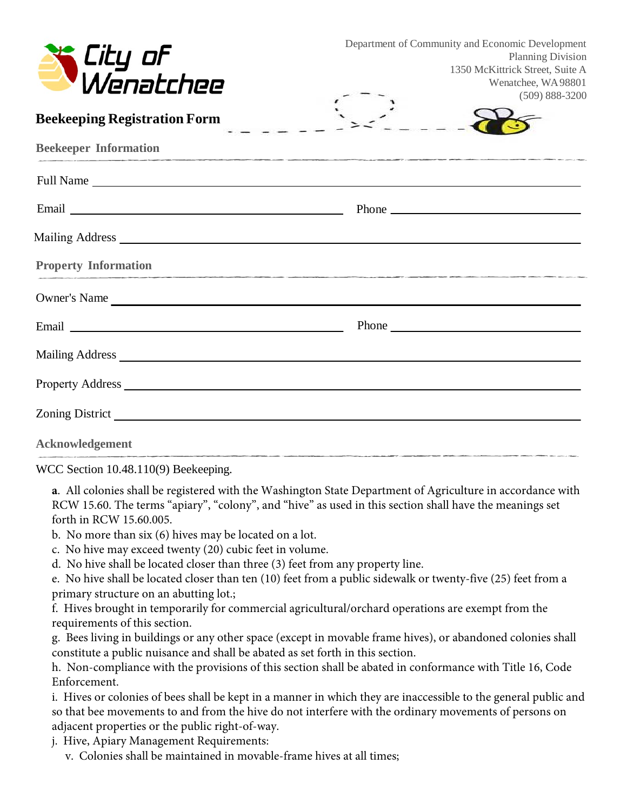| City of<br>Wenatchee                                                                                                                                                                                                           | Department of Community and Economic Development<br>Planning Division<br>1350 McKittrick Street, Suite A<br>Wenatchee, WA98801<br>$(509) 888 - 3200$ |  |
|--------------------------------------------------------------------------------------------------------------------------------------------------------------------------------------------------------------------------------|------------------------------------------------------------------------------------------------------------------------------------------------------|--|
| <b>Beekeeping Registration Form</b>                                                                                                                                                                                            |                                                                                                                                                      |  |
| <b>Beekeeper Information</b>                                                                                                                                                                                                   |                                                                                                                                                      |  |
|                                                                                                                                                                                                                                |                                                                                                                                                      |  |
|                                                                                                                                                                                                                                |                                                                                                                                                      |  |
|                                                                                                                                                                                                                                |                                                                                                                                                      |  |
| <b>Property Information</b>                                                                                                                                                                                                    | <u> 1989 - De Broadwin de Broadwin de Broadwin de Broadwin de Broadwin de Broadwin de Broadwin de Broadwin de Br</u>                                 |  |
| Owner's Name                                                                                                                                                                                                                   |                                                                                                                                                      |  |
|                                                                                                                                                                                                                                |                                                                                                                                                      |  |
| Mailing Address and the contract of the contract of the contract of the contract of the contract of the contract of the contract of the contract of the contract of the contract of the contract of the contract of the contra |                                                                                                                                                      |  |
|                                                                                                                                                                                                                                |                                                                                                                                                      |  |
|                                                                                                                                                                                                                                |                                                                                                                                                      |  |
| Acknowledgement                                                                                                                                                                                                                |                                                                                                                                                      |  |

WCC Section 10.48.110(9) Beekeeping.

**a**. All colonies shall be registered with the Washington State Department of Agriculture in accordance with RCW 15.60. The terms "apiary", "colony", and "hive" as used in this section shall have the meanings set forth in RCW 15.60.005.

- b. No more than six (6) hives may be located on a lot.
- c. No hive may exceed twenty (20) cubic feet in volume.
- d. No hive shall be located closer than three (3) feet from any property line.

e. No hive shall be located closer than ten (10) feet from a public sidewalk or twenty-five (25) feet from a primary structure on an abutting lot.;

f. Hives brought in temporarily for commercial agricultural/orchard operations are exempt from the requirements of this section.

g. Bees living in buildings or any other space (except in movable frame hives), or abandoned colonies shall constitute a public nuisance and shall be abated as set forth in this section.

h. Non-compliance with the provisions of this section shall be abated in conformance with Title 16, Code Enforcement.

i. Hives or colonies of bees shall be kept in a manner in which they are inaccessible to the general public and so that bee movements to and from the hive do not interfere with the ordinary movements of persons on adjacent properties or the public right-of-way.

- j. Hive, Apiary Management Requirements:
	- v. Colonies shall be maintained in movable-frame hives at all times;